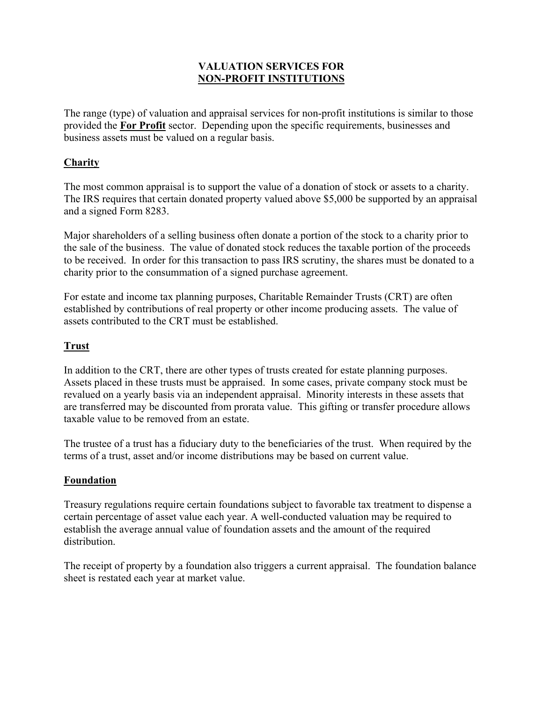# **VALUATION SERVICES FOR NON-PROFIT INSTITUTIONS**

The range (type) of valuation and appraisal services for non-profit institutions is similar to those provided the **For Profit** sector. Depending upon the specific requirements, businesses and business assets must be valued on a regular basis.

# **Charity**

The most common appraisal is to support the value of a donation of stock or assets to a charity. The IRS requires that certain donated property valued above \$5,000 be supported by an appraisal and a signed Form 8283.

Major shareholders of a selling business often donate a portion of the stock to a charity prior to the sale of the business. The value of donated stock reduces the taxable portion of the proceeds to be received. In order for this transaction to pass IRS scrutiny, the shares must be donated to a charity prior to the consummation of a signed purchase agreement.

For estate and income tax planning purposes, Charitable Remainder Trusts (CRT) are often established by contributions of real property or other income producing assets. The value of assets contributed to the CRT must be established.

## **Trust**

In addition to the CRT, there are other types of trusts created for estate planning purposes. Assets placed in these trusts must be appraised. In some cases, private company stock must be revalued on a yearly basis via an independent appraisal. Minority interests in these assets that are transferred may be discounted from prorata value. This gifting or transfer procedure allows taxable value to be removed from an estate.

The trustee of a trust has a fiduciary duty to the beneficiaries of the trust. When required by the terms of a trust, asset and/or income distributions may be based on current value.

## **Foundation**

Treasury regulations require certain foundations subject to favorable tax treatment to dispense a certain percentage of asset value each year. A well-conducted valuation may be required to establish the average annual value of foundation assets and the amount of the required distribution.

The receipt of property by a foundation also triggers a current appraisal. The foundation balance sheet is restated each year at market value.